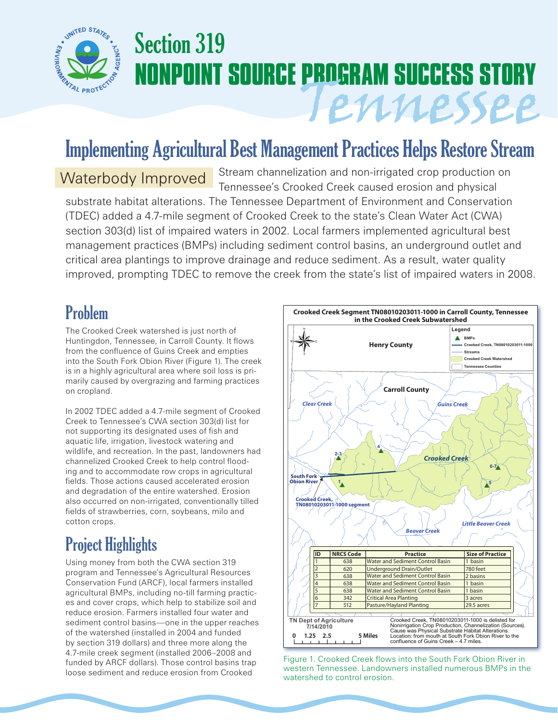

# Section 319 **NONPOINT SOURCE PROGRAM SUCCESS STORY** Tennessee

## Implementing Agricultural Best Management Practices Helps Restore Stream

Stream channelization and non-irrigated crop production on Tennessee's Crooked Creek caused erosion and physical substrate habitat alterations. The Tennessee Department of Environment and Conservation (TDEC) added a 4.7-mile segment of Crooked Creek to the state's Clean Water Act (CWA) section 303(d) list of impaired waters in 2002. Local farmers implemented agricultural best management practices (BMPs) including sediment control basins, an underground outlet and critical area plantings to improve drainage and reduce sediment. As a result, water quality improved, prompting TDEC to remove the creek from the state's list of impaired waters in 2008. Waterbody Improved

### Problem

The Crooked Creek watershed is just north of Huntingdon, Tennessee, in Carroll County. It flows from the confluence of Guins Creek and empties into the South Fork Obion River (Figure 1). The creek is in a highly agricultural area where soil loss is primarily caused by overgrazing and farming practices on cropland.

In 2002 TDEC added a 4.7-mile segment of Crooked Creek to Tennessee's CWA section 303(d) list for not supporting its designated uses of fish and aquatic life, irrigation, livestock watering and wildlife, and recreation. In the past, landowners had channelized Crooked Creek to help control flooding and to accommodate row crops in agricultural fields. Those actions caused accelerated erosion and degradation of the entire watershed. Erosion also occurred on non-irrigated, conventionally tilled fields of strawberries, corn, soybeans, milo and cotton crops.

## Project Highlights

Using money from both the CWA section 319 program and Tennessee's Agricultural Resources Conservation Fund (ARCF), local farmers installed agricultural BMPs, including no-till farming practices and cover crops, which help to stabilize soil and reduce erosion. Farmers installed four water and sediment control basins—one in the upper reaches of the watershed (installed in 2004 and funded by section 319 dollars) and three more along the 4.7-mile creek segment (installed 2006–2008 and funded by ARCF dollars). Those control basins trap loose sediment and reduce erosion from Crooked



Figure 1. Crooked Creek flows into the South Fork Obion River in western Tennessee. Landowners installed numerous BMPs in the watershed to control erosion.